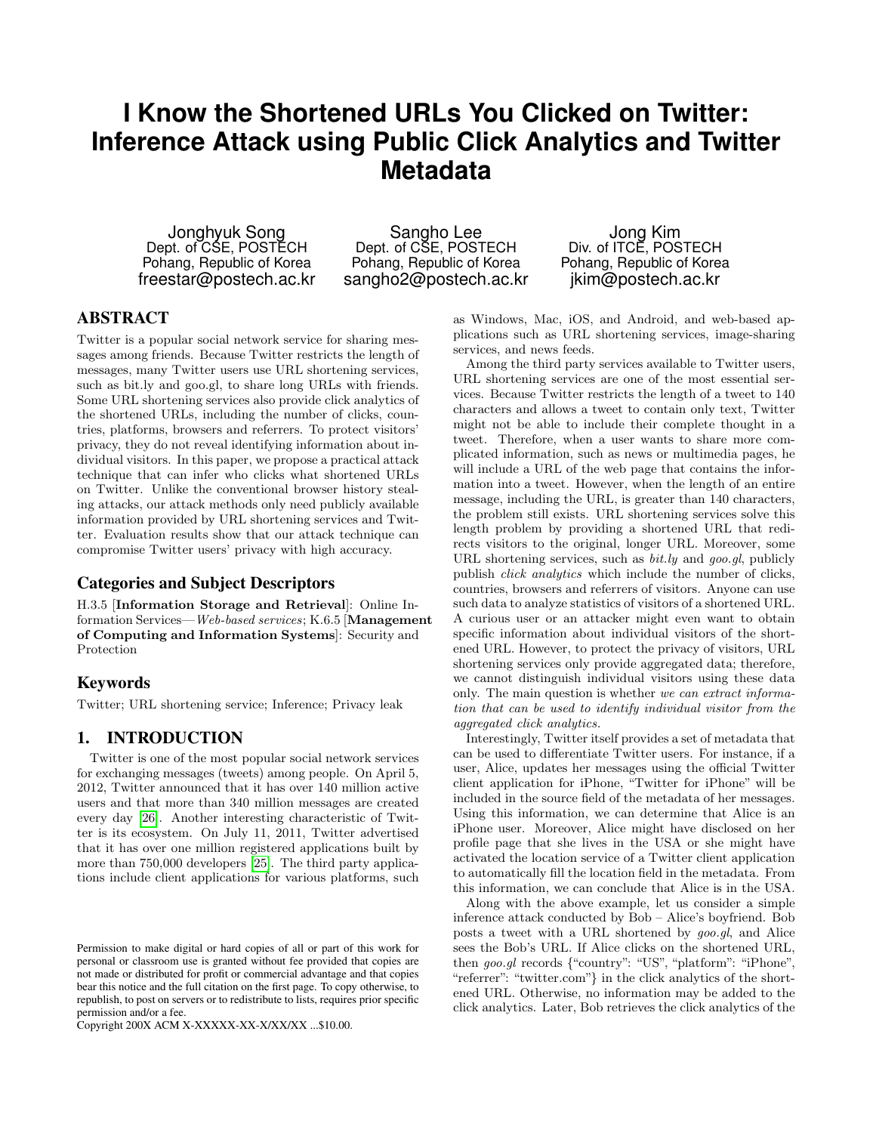# **I Know the Shortened URLs You Clicked on Twitter: Inference Attack using Public Click Analytics and Twitter Metadata**

Jonghyuk Song Dept. of CSE, POSTECH Pohang, Republic of Korea freestar@postech.ac.kr

Sangho Lee Dept. of CSE, POSTECH Pohang, Republic of Korea sangho2@postech.ac.kr

Jong Kim Div. of ITCE, POSTECH Pohang, Republic of Korea jkim@postech.ac.kr

# ABSTRACT

Twitter is a popular social network service for sharing messages among friends. Because Twitter restricts the length of messages, many Twitter users use URL shortening services, such as bit.ly and goo.gl, to share long URLs with friends. Some URL shortening services also provide click analytics of the shortened URLs, including the number of clicks, countries, platforms, browsers and referrers. To protect visitors' privacy, they do not reveal identifying information about individual visitors. In this paper, we propose a practical attack technique that can infer who clicks what shortened URLs on Twitter. Unlike the conventional browser history stealing attacks, our attack methods only need publicly available information provided by URL shortening services and Twitter. Evaluation results show that our attack technique can compromise Twitter users' privacy with high accuracy.

## Categories and Subject Descriptors

H.3.5 [Information Storage and Retrieval]: Online Information Services—Web-based services; K.6.5 [Management of Computing and Information Systems]: Security and Protection

## Keywords

Twitter; URL shortening service; Inference; Privacy leak

#### 1. INTRODUCTION

Twitter is one of the most popular social network services for exchanging messages (tweets) among people. On April 5, 2012, Twitter announced that it has over 140 million active users and that more than 340 million messages are created every day [\[26\]](#page-10-0). Another interesting characteristic of Twitter is its ecosystem. On July 11, 2011, Twitter advertised that it has over one million registered applications built by more than 750,000 developers [\[25\]](#page-10-1). The third party applications include client applications for various platforms, such

Copyright 200X ACM X-XXXXX-XX-X/XX/XX ...\$10.00.

as Windows, Mac, iOS, and Android, and web-based applications such as URL shortening services, image-sharing services, and news feeds.

Among the third party services available to Twitter users, URL shortening services are one of the most essential services. Because Twitter restricts the length of a tweet to 140 characters and allows a tweet to contain only text, Twitter might not be able to include their complete thought in a tweet. Therefore, when a user wants to share more complicated information, such as news or multimedia pages, he will include a URL of the web page that contains the information into a tweet. However, when the length of an entire message, including the URL, is greater than 140 characters, the problem still exists. URL shortening services solve this length problem by providing a shortened URL that redirects visitors to the original, longer URL. Moreover, some URL shortening services, such as  $bit.ly$  and goo.gl, publicly publish click analytics which include the number of clicks, countries, browsers and referrers of visitors. Anyone can use such data to analyze statistics of visitors of a shortened URL. A curious user or an attacker might even want to obtain specific information about individual visitors of the shortened URL. However, to protect the privacy of visitors, URL shortening services only provide aggregated data; therefore, we cannot distinguish individual visitors using these data only. The main question is whether we can extract information that can be used to identify individual visitor from the aggregated click analytics.

Interestingly, Twitter itself provides a set of metadata that can be used to differentiate Twitter users. For instance, if a user, Alice, updates her messages using the official Twitter client application for iPhone, "Twitter for iPhone" will be included in the source field of the metadata of her messages. Using this information, we can determine that Alice is an iPhone user. Moreover, Alice might have disclosed on her profile page that she lives in the USA or she might have activated the location service of a Twitter client application to automatically fill the location field in the metadata. From this information, we can conclude that Alice is in the USA.

Along with the above example, let us consider a simple inference attack conducted by Bob – Alice's boyfriend. Bob posts a tweet with a URL shortened by goo.gl, and Alice sees the Bob's URL. If Alice clicks on the shortened URL, then goo.gl records {"country": "US", "platform": "iPhone", "referrer": "twitter.com"} in the click analytics of the shortened URL. Otherwise, no information may be added to the click analytics. Later, Bob retrieves the click analytics of the

Permission to make digital or hard copies of all or part of this work for personal or classroom use is granted without fee provided that copies are not made or distributed for profit or commercial advantage and that copies bear this notice and the full citation on the first page. To copy otherwise, to republish, to post on servers or to redistribute to lists, requires prior specific permission and/or a fee.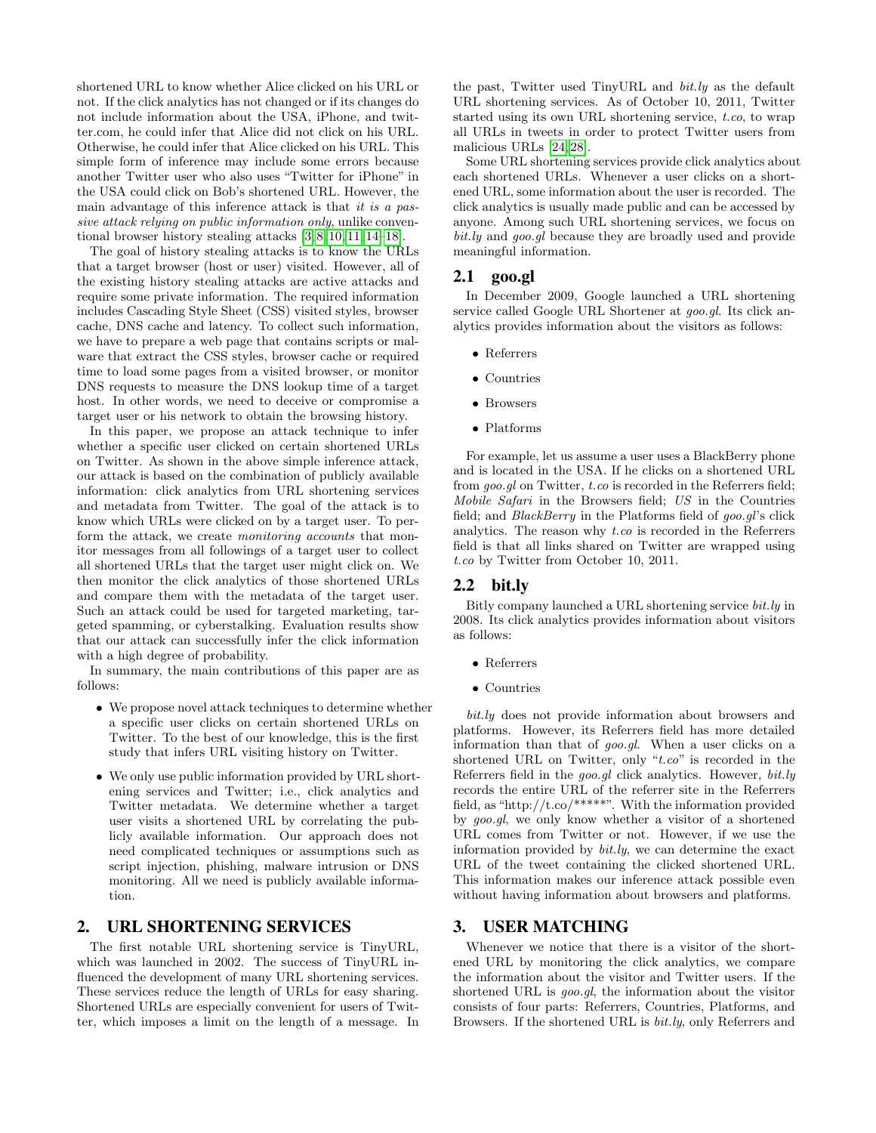shortened URL to know whether Alice clicked on his URL or not. If the click analytics has not changed or if its changes do not include information about the USA, iPhone, and twitter.com, he could infer that Alice did not click on his URL. Otherwise, he could infer that Alice clicked on his URL. This simple form of inference may include some errors because another Twitter user who also uses "Twitter for iPhone" in the USA could click on Bob's shortened URL. However, the main advantage of this inference attack is that it is a passive attack relying on public information only, unlike conventional browser history stealing attacks [\[3,](#page-9-0) [8,](#page-9-1) [10,](#page-9-2) [11,](#page-9-3) [14–](#page-9-4)[18\]](#page-10-2).

The goal of history stealing attacks is to know the URLs that a target browser (host or user) visited. However, all of the existing history stealing attacks are active attacks and require some private information. The required information includes Cascading Style Sheet (CSS) visited styles, browser cache, DNS cache and latency. To collect such information, we have to prepare a web page that contains scripts or malware that extract the CSS styles, browser cache or required time to load some pages from a visited browser, or monitor DNS requests to measure the DNS lookup time of a target host. In other words, we need to deceive or compromise a target user or his network to obtain the browsing history.

In this paper, we propose an attack technique to infer whether a specific user clicked on certain shortened URLs on Twitter. As shown in the above simple inference attack, our attack is based on the combination of publicly available information: click analytics from URL shortening services and metadata from Twitter. The goal of the attack is to know which URLs were clicked on by a target user. To perform the attack, we create monitoring accounts that monitor messages from all followings of a target user to collect all shortened URLs that the target user might click on. We then monitor the click analytics of those shortened URLs and compare them with the metadata of the target user. Such an attack could be used for targeted marketing, targeted spamming, or cyberstalking. Evaluation results show that our attack can successfully infer the click information with a high degree of probability.

In summary, the main contributions of this paper are as follows:

- We propose novel attack techniques to determine whether a specific user clicks on certain shortened URLs on Twitter. To the best of our knowledge, this is the first study that infers URL visiting history on Twitter.
- We only use public information provided by URL shortening services and Twitter; i.e., click analytics and Twitter metadata. We determine whether a target user visits a shortened URL by correlating the publicly available information. Our approach does not need complicated techniques or assumptions such as script injection, phishing, malware intrusion or DNS monitoring. All we need is publicly available information.

#### 2. URL SHORTENING SERVICES

The first notable URL shortening service is TinyURL, which was launched in 2002. The success of TinyURL influenced the development of many URL shortening services. These services reduce the length of URLs for easy sharing. Shortened URLs are especially convenient for users of Twitter, which imposes a limit on the length of a message. In the past, Twitter used TinyURL and bit.ly as the default URL shortening services. As of October 10, 2011, Twitter started using its own URL shortening service, t.co, to wrap all URLs in tweets in order to protect Twitter users from malicious URLs [\[24,](#page-10-3) [28\]](#page-10-4).

Some URL shortening services provide click analytics about each shortened URLs. Whenever a user clicks on a shortened URL, some information about the user is recorded. The click analytics is usually made public and can be accessed by anyone. Among such URL shortening services, we focus on bit.ly and goo.gl because they are broadly used and provide meaningful information.

#### 2.1 goo.gl

In December 2009, Google launched a URL shortening service called Google URL Shortener at goo.gl. Its click analytics provides information about the visitors as follows:

- Referrers
- Countries
- Browsers
- Platforms

For example, let us assume a user uses a BlackBerry phone and is located in the USA. If he clicks on a shortened URL from *goo.gl* on Twitter, *t.co* is recorded in the Referrers field; Mobile Safari in the Browsers field; US in the Countries field; and BlackBerry in the Platforms field of goo.gl's click analytics. The reason why t.co is recorded in the Referrers field is that all links shared on Twitter are wrapped using t.co by Twitter from October 10, 2011.

#### 2.2 bit.ly

Bitly company launched a URL shortening service bit.ly in 2008. Its click analytics provides information about visitors as follows:

- Referrers
- Countries

bit.ly does not provide information about browsers and platforms. However, its Referrers field has more detailed information than that of goo.gl. When a user clicks on a shortened URL on Twitter, only " $t.co$ " is recorded in the Referrers field in the goo.gl click analytics. However, bit.ly records the entire URL of the referrer site in the Referrers field, as "http://t.co/\*\*\*\*\*\*". With the information provided by goo.gl, we only know whether a visitor of a shortened URL comes from Twitter or not. However, if we use the information provided by bit.ly, we can determine the exact URL of the tweet containing the clicked shortened URL. This information makes our inference attack possible even without having information about browsers and platforms.

## 3. USER MATCHING

Whenever we notice that there is a visitor of the shortened URL by monitoring the click analytics, we compare the information about the visitor and Twitter users. If the shortened URL is goo.gl, the information about the visitor consists of four parts: Referrers, Countries, Platforms, and Browsers. If the shortened URL is bit.ly, only Referrers and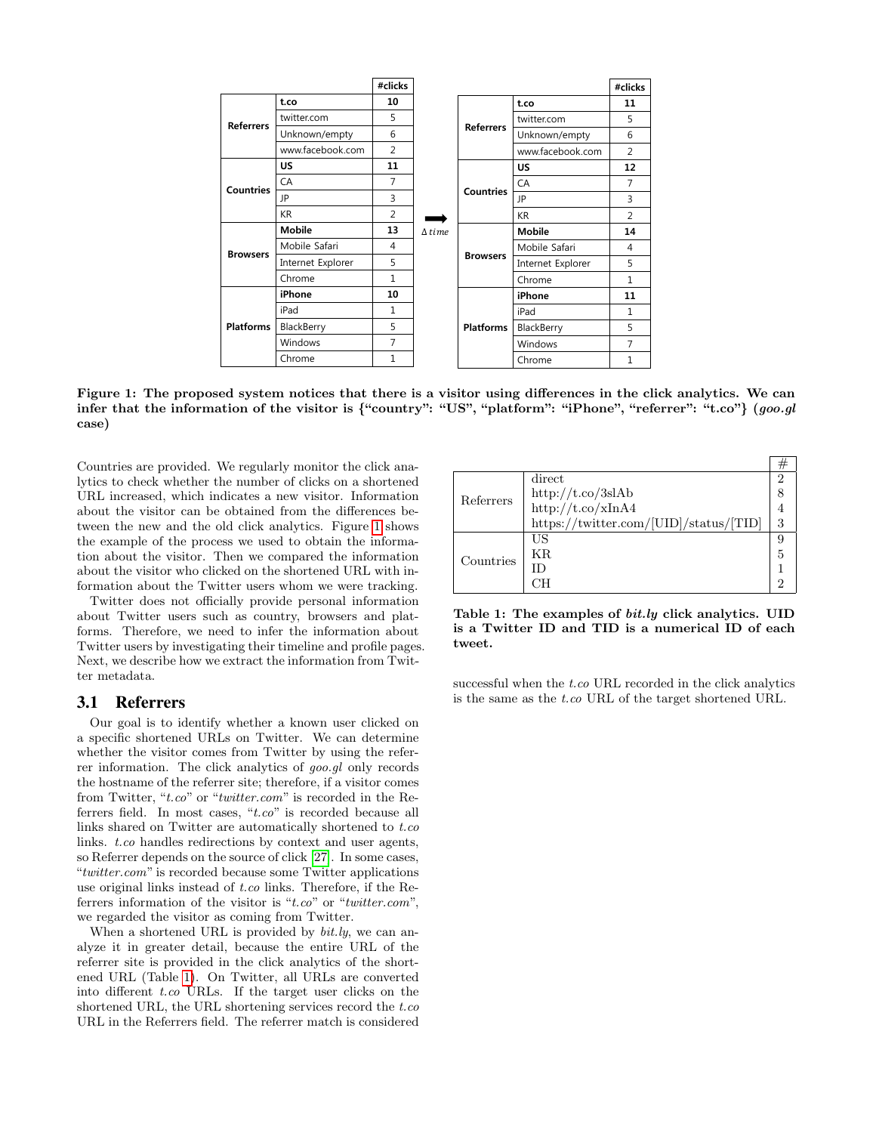|                  |                   | #clicks        |               |                  |                   | #clicks        |
|------------------|-------------------|----------------|---------------|------------------|-------------------|----------------|
| <b>Referrers</b> | t.co              | 10             |               |                  | t.co              | 11             |
|                  | twitter.com       | 5              |               | <b>Referrers</b> | twitter.com       | 5              |
|                  | Unknown/empty     | 6              |               |                  | Unknown/empty     | 6              |
|                  | www.facebook.com  | $\overline{2}$ |               |                  | www.facebook.com  | $\mathcal{P}$  |
|                  | US.               | 11             |               | <b>Countries</b> | US                | 12             |
| <b>Countries</b> | CA                | 7              |               |                  | CA                | 7              |
|                  | JP                | 3              |               |                  | JP                | 3              |
|                  | <b>KR</b>         | $\overline{2}$ | $\Delta$ time |                  | <b>KR</b>         | $\overline{2}$ |
|                  | <b>Mobile</b>     | 13             |               | <b>Browsers</b>  | Mobile            | 14             |
| <b>Browsers</b>  | Mobile Safari     | 4              |               |                  | Mobile Safari     | 4              |
|                  | Internet Explorer | 5              |               |                  | Internet Explorer | 5              |
|                  | Chrome            | $\mathbf{1}$   |               |                  | Chrome            | $\mathbf{1}$   |
|                  | iPhone            | 10             |               | <b>Platforms</b> | iPhone            | 11             |
| <b>Platforms</b> | iPad              | 1              |               |                  | iPad              | $\mathbf{1}$   |
|                  | BlackBerry        | 5              |               |                  | BlackBerry        | 5              |
|                  | Windows           | 7              |               |                  | Windows           | $\overline{7}$ |
|                  | Chrome            | 1              |               |                  | Chrome            | $\mathbf{1}$   |

<span id="page-2-0"></span>Figure 1: The proposed system notices that there is a visitor using differences in the click analytics. We can infer that the information of the visitor is {"country": "US", "platform": "iPhone", "referrer": "t.co"} (goo.gl case)

Countries are provided. We regularly monitor the click analytics to check whether the number of clicks on a shortened URL increased, which indicates a new visitor. Information about the visitor can be obtained from the differences between the new and the old click analytics. Figure [1](#page-2-0) shows the example of the process we used to obtain the information about the visitor. Then we compared the information about the visitor who clicked on the shortened URL with information about the Twitter users whom we were tracking.

Twitter does not officially provide personal information about Twitter users such as country, browsers and platforms. Therefore, we need to infer the information about Twitter users by investigating their timeline and profile pages. Next, we describe how we extract the information from Twitter metadata.

#### 3.1 Referrers

Our goal is to identify whether a known user clicked on a specific shortened URLs on Twitter. We can determine whether the visitor comes from Twitter by using the referrer information. The click analytics of goo.gl only records the hostname of the referrer site; therefore, if a visitor comes from Twitter, "t.co" or "twitter.com" is recorded in the Referrers field. In most cases, "t.co" is recorded because all links shared on Twitter are automatically shortened to t.co. links. t.co handles redirections by context and user agents, so Referrer depends on the source of click [\[27\]](#page-10-5). In some cases, "twitter.com" is recorded because some Twitter applications use original links instead of t.co links. Therefore, if the Referrers information of the visitor is " $t.co$ " or " $twtter.com$ ", we regarded the visitor as coming from Twitter.

When a shortened URL is provided by  $bit.ly$ , we can analyze it in greater detail, because the entire URL of the referrer site is provided in the click analytics of the shortened URL (Table [1\)](#page-2-1). On Twitter, all URLs are converted into different t.co URLs. If the target user clicks on the shortened URL, the URL shortening services record the  $t.co$ URL in the Referrers field. The referrer match is considered

|           | direct                                 | 2 |
|-----------|----------------------------------------|---|
| Referrers | http://t.co/3slAb                      |   |
|           | http://t.co/xInA4                      |   |
|           | https://twitter.com/[UID]/status/[TID] | 3 |
| Countries | US                                     |   |
|           | KR.                                    | 5 |
|           | ΙD                                     |   |
|           |                                        |   |

<span id="page-2-1"></span>Table 1: The examples of bit.ly click analytics. UID is a Twitter ID and TID is a numerical ID of each tweet.

successful when the t.co URL recorded in the click analytics is the same as the t.co URL of the target shortened URL.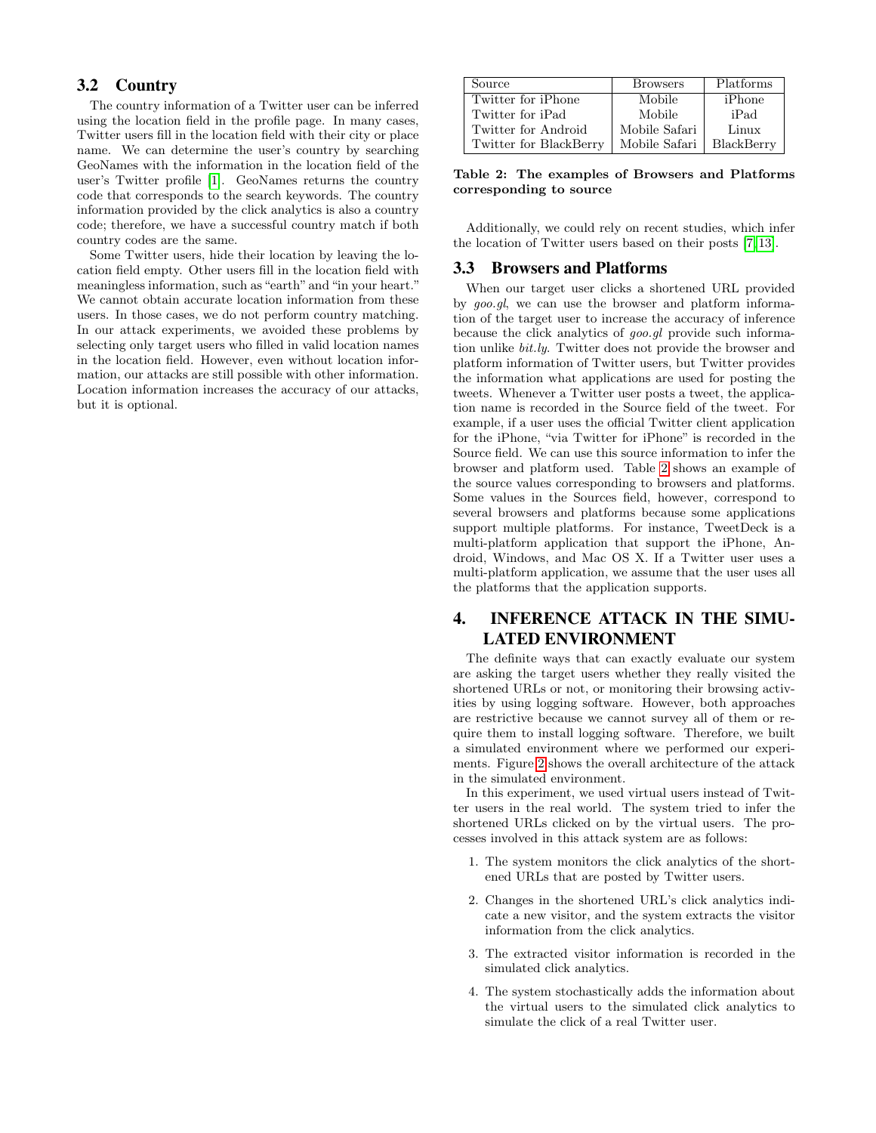# 3.2 Country

The country information of a Twitter user can be inferred using the location field in the profile page. In many cases, Twitter users fill in the location field with their city or place name. We can determine the user's country by searching GeoNames with the information in the location field of the user's Twitter profile [\[1\]](#page-9-5). GeoNames returns the country code that corresponds to the search keywords. The country information provided by the click analytics is also a country code; therefore, we have a successful country match if both country codes are the same.

Some Twitter users, hide their location by leaving the location field empty. Other users fill in the location field with meaningless information, such as "earth" and "in your heart." We cannot obtain accurate location information from these users. In those cases, we do not perform country matching. In our attack experiments, we avoided these problems by selecting only target users who filled in valid location names in the location field. However, even without location information, our attacks are still possible with other information. Location information increases the accuracy of our attacks, but it is optional.

| Source                  | <b>Browsers</b> | Platforms  |
|-------------------------|-----------------|------------|
| Twitter for iPhone      | Mobile          | iPhone     |
| Twitter for <i>iPad</i> | Mobile          | iPad       |
| Twitter for Android     | Mobile Safari   | Linux      |
| Twitter for BlackBerry  | Mobile Safari   | BlackBerry |

<span id="page-3-0"></span>Table 2: The examples of Browsers and Platforms corresponding to source

Additionally, we could rely on recent studies, which infer the location of Twitter users based on their posts [\[7,](#page-9-6) [13\]](#page-9-7).

## 3.3 Browsers and Platforms

When our target user clicks a shortened URL provided by goo.gl, we can use the browser and platform information of the target user to increase the accuracy of inference because the click analytics of goo.gl provide such information unlike bit.ly. Twitter does not provide the browser and platform information of Twitter users, but Twitter provides the information what applications are used for posting the tweets. Whenever a Twitter user posts a tweet, the application name is recorded in the Source field of the tweet. For example, if a user uses the official Twitter client application for the iPhone, "via Twitter for iPhone" is recorded in the Source field. We can use this source information to infer the browser and platform used. Table [2](#page-3-0) shows an example of the source values corresponding to browsers and platforms. Some values in the Sources field, however, correspond to several browsers and platforms because some applications support multiple platforms. For instance, TweetDeck is a multi-platform application that support the iPhone, Android, Windows, and Mac OS X. If a Twitter user uses a multi-platform application, we assume that the user uses all the platforms that the application supports.

# 4. INFERENCE ATTACK IN THE SIMU-LATED ENVIRONMENT

The definite ways that can exactly evaluate our system are asking the target users whether they really visited the shortened URLs or not, or monitoring their browsing activities by using logging software. However, both approaches are restrictive because we cannot survey all of them or require them to install logging software. Therefore, we built a simulated environment where we performed our experiments. Figure [2](#page-4-0) shows the overall architecture of the attack in the simulated environment.

In this experiment, we used virtual users instead of Twitter users in the real world. The system tried to infer the shortened URLs clicked on by the virtual users. The processes involved in this attack system are as follows:

- 1. The system monitors the click analytics of the shortened URLs that are posted by Twitter users.
- 2. Changes in the shortened URL's click analytics indicate a new visitor, and the system extracts the visitor information from the click analytics.
- 3. The extracted visitor information is recorded in the simulated click analytics.
- 4. The system stochastically adds the information about the virtual users to the simulated click analytics to simulate the click of a real Twitter user.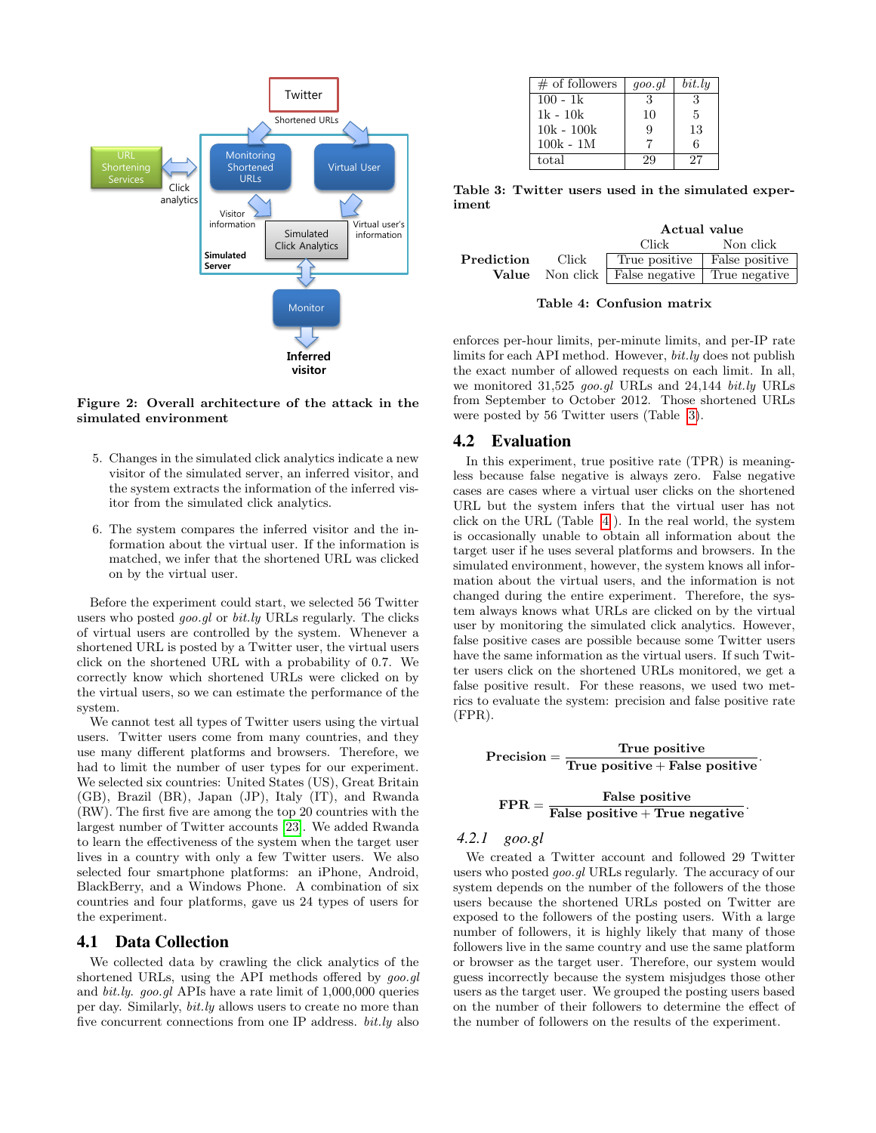

<span id="page-4-0"></span>Figure 2: Overall architecture of the attack in the simulated environment

- 5. Changes in the simulated click analytics indicate a new visitor of the simulated server, an inferred visitor, and the system extracts the information of the inferred visitor from the simulated click analytics.
- 6. The system compares the inferred visitor and the information about the virtual user. If the information is matched, we infer that the shortened URL was clicked on by the virtual user.

Before the experiment could start, we selected 56 Twitter users who posted goo.gl or bit.ly URLs regularly. The clicks of virtual users are controlled by the system. Whenever a shortened URL is posted by a Twitter user, the virtual users click on the shortened URL with a probability of 0.7. We correctly know which shortened URLs were clicked on by the virtual users, so we can estimate the performance of the system.

We cannot test all types of Twitter users using the virtual users. Twitter users come from many countries, and they use many different platforms and browsers. Therefore, we had to limit the number of user types for our experiment. We selected six countries: United States (US), Great Britain (GB), Brazil (BR), Japan (JP), Italy (IT), and Rwanda (RW). The first five are among the top 20 countries with the largest number of Twitter accounts [\[23\]](#page-10-6). We added Rwanda to learn the effectiveness of the system when the target user lives in a country with only a few Twitter users. We also selected four smartphone platforms: an iPhone, Android, BlackBerry, and a Windows Phone. A combination of six countries and four platforms, gave us 24 types of users for the experiment.

#### 4.1 Data Collection

We collected data by crawling the click analytics of the shortened URLs, using the API methods offered by goo.gl and bit.ly. goo.gl APIs have a rate limit of 1,000,000 queries per day. Similarly, bit.ly allows users to create no more than five concurrent connections from one IP address. bit.ly also

| $\#$ of followers | qoo.ql | $bit.$ ly |
|-------------------|--------|-----------|
| $100 - 1k$        | 3      | 3         |
| $1k - 10k$        | 10     | 5         |
| $10k - 100k$      | 9      | 13        |
| $100k - 1M$       |        | 6         |
| total             | 29     | 27        |

<span id="page-4-1"></span>Table 3: Twitter users used in the simulated experiment

|            |       | Actual value                                 |           |  |
|------------|-------|----------------------------------------------|-----------|--|
|            |       | Click                                        | Non click |  |
| Prediction | Click | True positive   False positive               |           |  |
|            |       | Value Non click False negative True negative |           |  |

<span id="page-4-2"></span>Table 4: Confusion matrix

enforces per-hour limits, per-minute limits, and per-IP rate limits for each API method. However, bit.ly does not publish the exact number of allowed requests on each limit. In all, we monitored 31,525 goo.gl URLs and 24,144 bit.ly URLs from September to October 2012. Those shortened URLs were posted by 56 Twitter users (Table [3\)](#page-4-1).

#### 4.2 Evaluation

In this experiment, true positive rate (TPR) is meaningless because false negative is always zero. False negative cases are cases where a virtual user clicks on the shortened URL but the system infers that the virtual user has not click on the URL (Table [4](#page-4-2) ). In the real world, the system is occasionally unable to obtain all information about the target user if he uses several platforms and browsers. In the simulated environment, however, the system knows all information about the virtual users, and the information is not changed during the entire experiment. Therefore, the system always knows what URLs are clicked on by the virtual user by monitoring the simulated click analytics. However, false positive cases are possible because some Twitter users have the same information as the virtual users. If such Twitter users click on the shortened URLs monitored, we get a false positive result. For these reasons, we used two metrics to evaluate the system: precision and false positive rate (FPR).

$$
Precision = \frac{True \ positive}{True \ positive + False \ positive}
$$
  
False positive

$$
FPR = \frac{rase positive}{False positive + True negative}.
$$

#### *4.2.1 goo.gl*

We created a Twitter account and followed 29 Twitter users who posted goo.gl URLs regularly. The accuracy of our system depends on the number of the followers of the those users because the shortened URLs posted on Twitter are exposed to the followers of the posting users. With a large number of followers, it is highly likely that many of those followers live in the same country and use the same platform or browser as the target user. Therefore, our system would guess incorrectly because the system misjudges those other users as the target user. We grouped the posting users based on the number of their followers to determine the effect of the number of followers on the results of the experiment.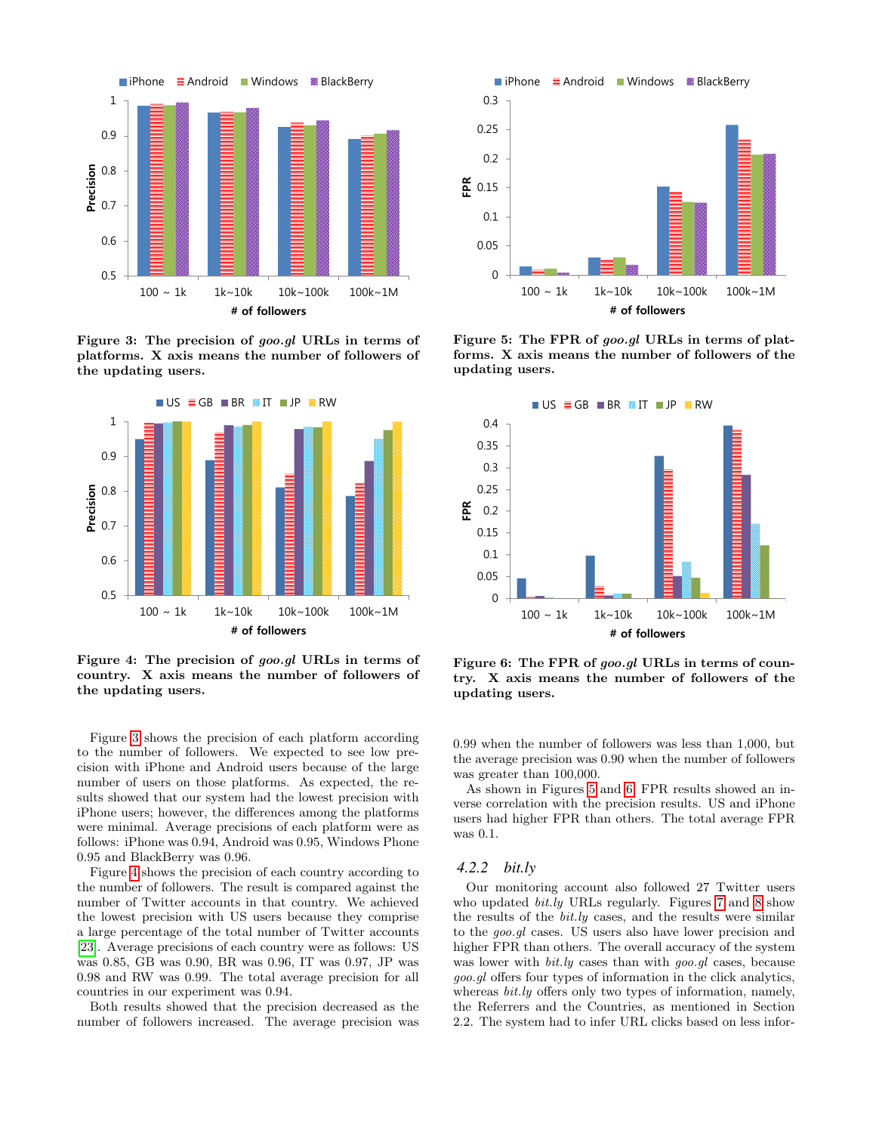

<span id="page-5-0"></span>Figure 3: The precision of goo.gl URLs in terms of platforms. X axis means the number of followers of the updating users.



<span id="page-5-1"></span>Figure 4: The precision of goo.gl URLs in terms of country. X axis means the number of followers of the updating users.

Figure [3](#page-5-0) shows the precision of each platform according to the number of followers. We expected to see low precision with iPhone and Android users because of the large number of users on those platforms. As expected, the results showed that our system had the lowest precision with iPhone users; however, the differences among the platforms were minimal. Average precisions of each platform were as follows: iPhone was 0.94, Android was 0.95, Windows Phone 0.95 and BlackBerry was 0.96.

Figure [4](#page-5-1) shows the precision of each country according to the number of followers. The result is compared against the number of Twitter accounts in that country. We achieved the lowest precision with US users because they comprise a large percentage of the total number of Twitter accounts [\[23\]](#page-10-6). Average precisions of each country were as follows: US was 0.85, GB was 0.90, BR was 0.96, IT was 0.97, JP was 0.98 and RW was 0.99. The total average precision for all countries in our experiment was 0.94.

Both results showed that the precision decreased as the number of followers increased. The average precision was



<span id="page-5-2"></span>Figure 5: The FPR of goo.gl URLs in terms of platforms. X axis means the number of followers of the updating users.



<span id="page-5-3"></span>Figure 6: The FPR of goo.gl URLs in terms of country. X axis means the number of followers of the updating users.

0.99 when the number of followers was less than 1,000, but the average precision was 0.90 when the number of followers was greater than 100,000.

As shown in Figures [5](#page-5-2) and [6,](#page-5-3) FPR results showed an inverse correlation with the precision results. US and iPhone users had higher FPR than others. The total average FPR was 0.1.

#### *4.2.2 bit.ly*

Our monitoring account also followed 27 Twitter users who updated *bit.ly* URLs regularly. Figures [7](#page-6-0) and [8](#page-6-1) show the results of the bit.ly cases, and the results were similar to the goo.gl cases. US users also have lower precision and higher FPR than others. The overall accuracy of the system was lower with *bit.ly* cases than with *goo.gl* cases, because goo.gl offers four types of information in the click analytics, whereas *bit.ly* offers only two types of information, namely, the Referrers and the Countries, as mentioned in Section 2.2. The system had to infer URL clicks based on less infor-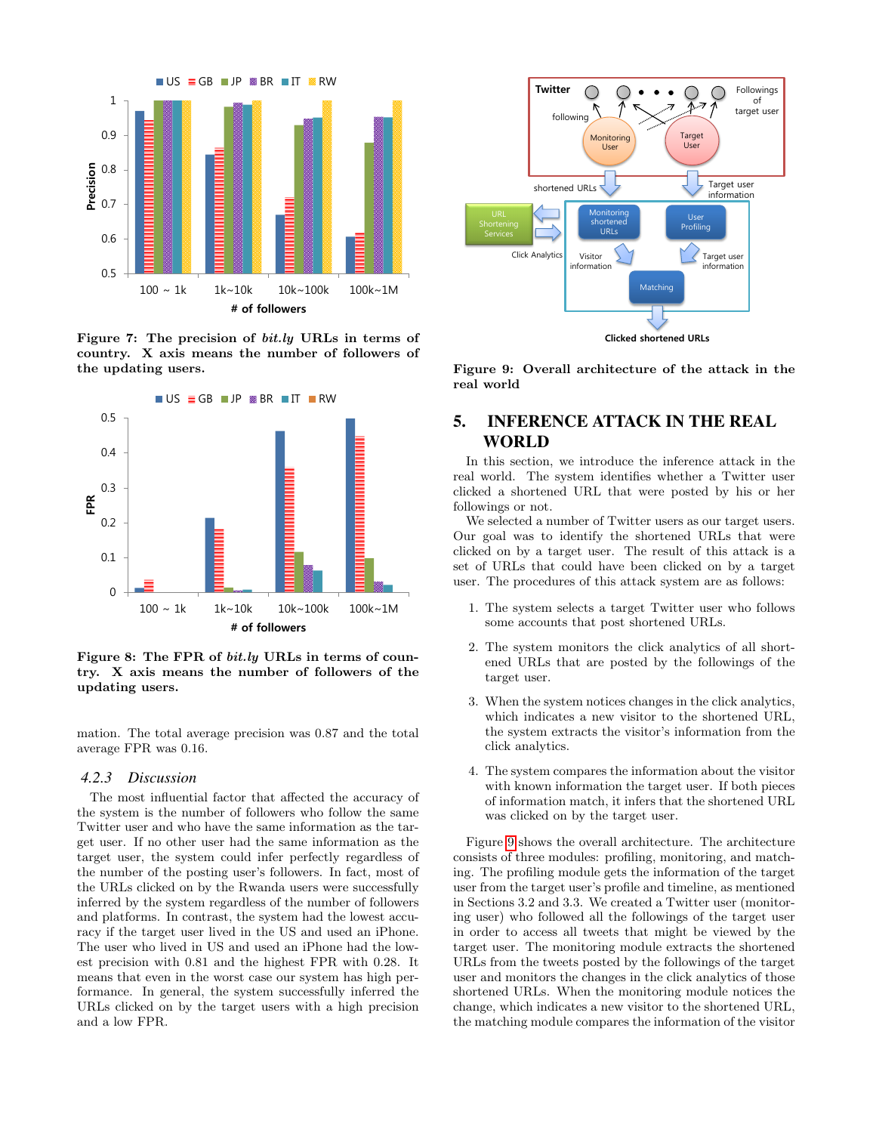

<span id="page-6-0"></span>Figure 7: The precision of bit.ly URLs in terms of country. X axis means the number of followers of the updating users.



<span id="page-6-1"></span>Figure 8: The FPR of bit.ly URLs in terms of country. X axis means the number of followers of the updating users.

mation. The total average precision was 0.87 and the total average FPR was 0.16.

#### *4.2.3 Discussion*

The most influential factor that affected the accuracy of the system is the number of followers who follow the same Twitter user and who have the same information as the target user. If no other user had the same information as the target user, the system could infer perfectly regardless of the number of the posting user's followers. In fact, most of the URLs clicked on by the Rwanda users were successfully inferred by the system regardless of the number of followers and platforms. In contrast, the system had the lowest accuracy if the target user lived in the US and used an iPhone. The user who lived in US and used an iPhone had the lowest precision with 0.81 and the highest FPR with 0.28. It means that even in the worst case our system has high performance. In general, the system successfully inferred the URLs clicked on by the target users with a high precision and a low FPR.



<span id="page-6-2"></span>Figure 9: Overall architecture of the attack in the real world

# 5. INFERENCE ATTACK IN THE REAL WORLD

In this section, we introduce the inference attack in the real world. The system identifies whether a Twitter user clicked a shortened URL that were posted by his or her followings or not.

We selected a number of Twitter users as our target users. Our goal was to identify the shortened URLs that were clicked on by a target user. The result of this attack is a set of URLs that could have been clicked on by a target user. The procedures of this attack system are as follows:

- 1. The system selects a target Twitter user who follows some accounts that post shortened URLs.
- 2. The system monitors the click analytics of all shortened URLs that are posted by the followings of the target user.
- 3. When the system notices changes in the click analytics, which indicates a new visitor to the shortened URL, the system extracts the visitor's information from the click analytics.
- 4. The system compares the information about the visitor with known information the target user. If both pieces of information match, it infers that the shortened URL was clicked on by the target user.

Figure [9](#page-6-2) shows the overall architecture. The architecture consists of three modules: profiling, monitoring, and matching. The profiling module gets the information of the target user from the target user's profile and timeline, as mentioned in Sections 3.2 and 3.3. We created a Twitter user (monitoring user) who followed all the followings of the target user in order to access all tweets that might be viewed by the target user. The monitoring module extracts the shortened URLs from the tweets posted by the followings of the target user and monitors the changes in the click analytics of those shortened URLs. When the monitoring module notices the change, which indicates a new visitor to the shortened URL, the matching module compares the information of the visitor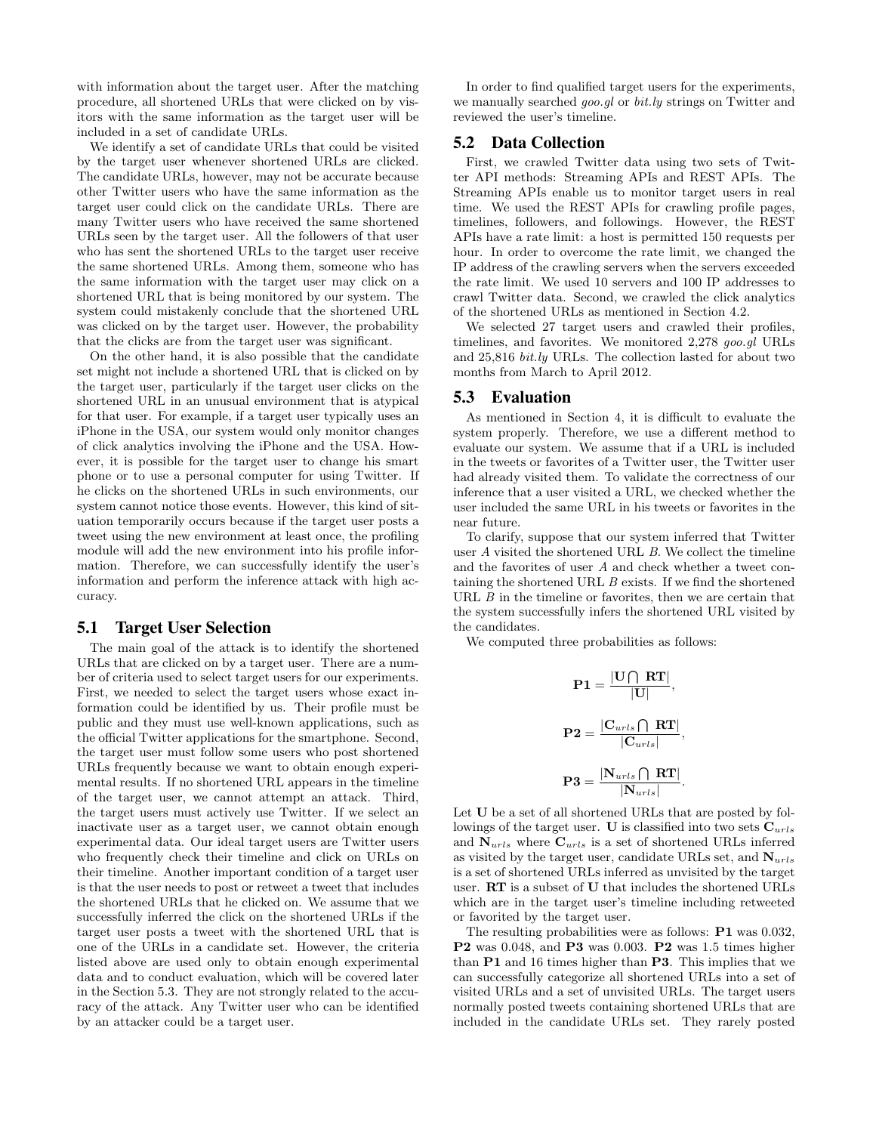with information about the target user. After the matching procedure, all shortened URLs that were clicked on by visitors with the same information as the target user will be included in a set of candidate URLs.

We identify a set of candidate URLs that could be visited by the target user whenever shortened URLs are clicked. The candidate URLs, however, may not be accurate because other Twitter users who have the same information as the target user could click on the candidate URLs. There are many Twitter users who have received the same shortened URLs seen by the target user. All the followers of that user who has sent the shortened URLs to the target user receive the same shortened URLs. Among them, someone who has the same information with the target user may click on a shortened URL that is being monitored by our system. The system could mistakenly conclude that the shortened URL was clicked on by the target user. However, the probability that the clicks are from the target user was significant.

On the other hand, it is also possible that the candidate set might not include a shortened URL that is clicked on by the target user, particularly if the target user clicks on the shortened URL in an unusual environment that is atypical for that user. For example, if a target user typically uses an iPhone in the USA, our system would only monitor changes of click analytics involving the iPhone and the USA. However, it is possible for the target user to change his smart phone or to use a personal computer for using Twitter. If he clicks on the shortened URLs in such environments, our system cannot notice those events. However, this kind of situation temporarily occurs because if the target user posts a tweet using the new environment at least once, the profiling module will add the new environment into his profile information. Therefore, we can successfully identify the user's information and perform the inference attack with high accuracy.

#### 5.1 Target User Selection

The main goal of the attack is to identify the shortened URLs that are clicked on by a target user. There are a number of criteria used to select target users for our experiments. First, we needed to select the target users whose exact information could be identified by us. Their profile must be public and they must use well-known applications, such as the official Twitter applications for the smartphone. Second, the target user must follow some users who post shortened URLs frequently because we want to obtain enough experimental results. If no shortened URL appears in the timeline of the target user, we cannot attempt an attack. Third, the target users must actively use Twitter. If we select an inactivate user as a target user, we cannot obtain enough experimental data. Our ideal target users are Twitter users who frequently check their timeline and click on URLs on their timeline. Another important condition of a target user is that the user needs to post or retweet a tweet that includes the shortened URLs that he clicked on. We assume that we successfully inferred the click on the shortened URLs if the target user posts a tweet with the shortened URL that is one of the URLs in a candidate set. However, the criteria listed above are used only to obtain enough experimental data and to conduct evaluation, which will be covered later in the Section 5.3. They are not strongly related to the accuracy of the attack. Any Twitter user who can be identified by an attacker could be a target user.

In order to find qualified target users for the experiments, we manually searched *goo.gl* or *bit.ly* strings on Twitter and reviewed the user's timeline.

#### 5.2 Data Collection

First, we crawled Twitter data using two sets of Twitter API methods: Streaming APIs and REST APIs. The Streaming APIs enable us to monitor target users in real time. We used the REST APIs for crawling profile pages, timelines, followers, and followings. However, the REST APIs have a rate limit: a host is permitted 150 requests per hour. In order to overcome the rate limit, we changed the IP address of the crawling servers when the servers exceeded the rate limit. We used 10 servers and 100 IP addresses to crawl Twitter data. Second, we crawled the click analytics of the shortened URLs as mentioned in Section 4.2.

We selected 27 target users and crawled their profiles, timelines, and favorites. We monitored 2,278 goo.gl URLs and 25,816 bit.ly URLs. The collection lasted for about two months from March to April 2012.

#### 5.3 Evaluation

As mentioned in Section 4, it is difficult to evaluate the system properly. Therefore, we use a different method to evaluate our system. We assume that if a URL is included in the tweets or favorites of a Twitter user, the Twitter user had already visited them. To validate the correctness of our inference that a user visited a URL, we checked whether the user included the same URL in his tweets or favorites in the near future.

To clarify, suppose that our system inferred that Twitter user  $A$  visited the shortened URL  $B$ . We collect the timeline and the favorites of user A and check whether a tweet containing the shortened URL B exists. If we find the shortened URL  $B$  in the timeline or favorites, then we are certain that the system successfully infers the shortened URL visited by the candidates.

We computed three probabilities as follows:

$$
P1 = \frac{|U \bigcap RT|}{|U|},
$$
  

$$
P2 = \frac{|C_{urls} \bigcap RT|}{|C_{urls}|},
$$
  

$$
P3 = \frac{|N_{urls} \bigcap RT|}{|N_{urls}|}.
$$

Let U be a set of all shortened URLs that are posted by followings of the target user. U is classified into two sets  $C_{urls}$ and  $N_{urls}$  where  $C_{urls}$  is a set of shortened URLs inferred as visited by the target user, candidate URLs set, and  $N_{urls}$ is a set of shortened URLs inferred as unvisited by the target user. RT is a subset of U that includes the shortened URLs which are in the target user's timeline including retweeted or favorited by the target user.

The resulting probabilities were as follows: P1 was 0.032, P2 was 0.048, and P3 was 0.003. P2 was 1.5 times higher than P1 and 16 times higher than P3. This implies that we can successfully categorize all shortened URLs into a set of visited URLs and a set of unvisited URLs. The target users normally posted tweets containing shortened URLs that are included in the candidate URLs set. They rarely posted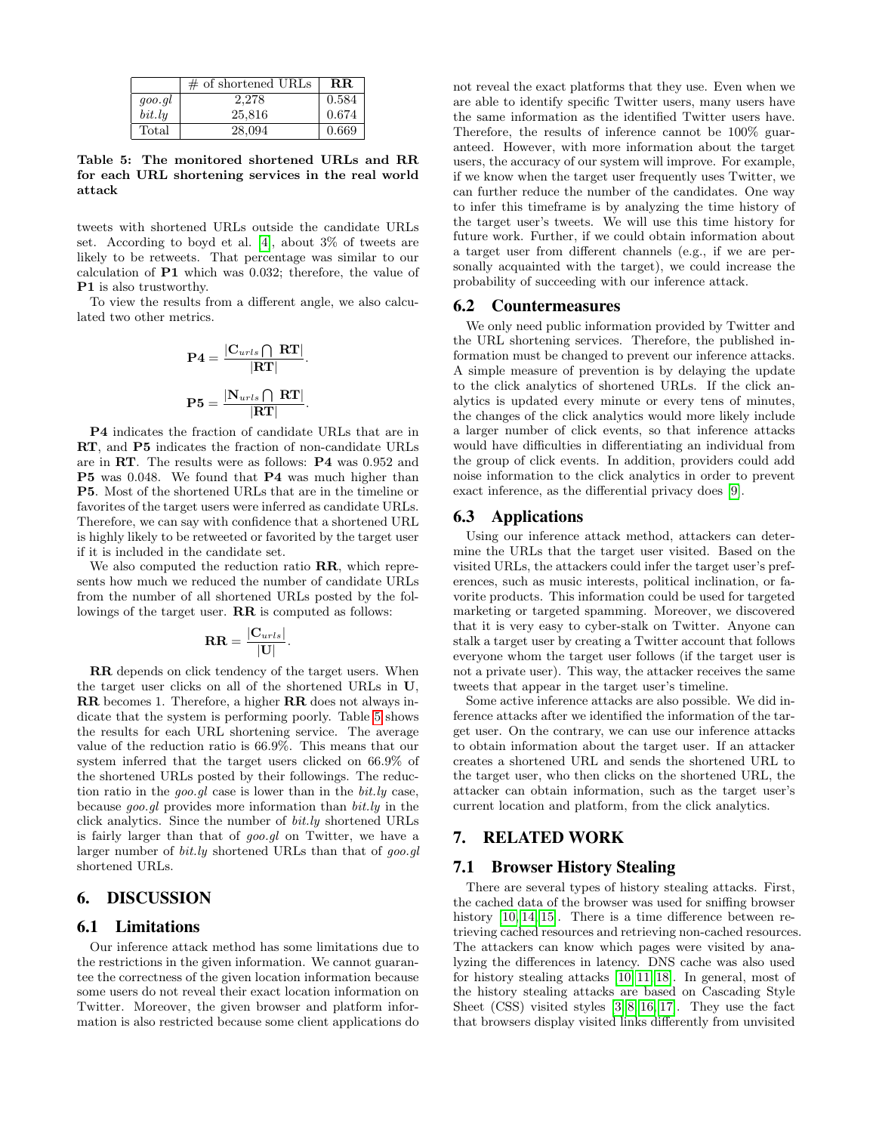|             | $\#$ of shortened URLs | $_{\rm RR}$ |
|-------------|------------------------|-------------|
| $qoo.$ $ql$ | 2.278                  | 0.584       |
| bit.        | 25,816                 | 0.674       |
| Total       | 28,094                 | 0.669       |

<span id="page-8-0"></span>Table 5: The monitored shortened URLs and RR for each URL shortening services in the real world attack

tweets with shortened URLs outside the candidate URLs set. According to boyd et al. [\[4\]](#page-9-8), about 3% of tweets are likely to be retweets. That percentage was similar to our calculation of P1 which was 0.032; therefore, the value of P1 is also trustworthy.

To view the results from a different angle, we also calculated two other metrics.

$$
P4 = \frac{|C_{urls} \bigcap RT|}{|RT|}.
$$

$$
P5 = \frac{|N_{urls} \bigcap RT|}{|RT|}.
$$

P4 indicates the fraction of candidate URLs that are in RT, and P5 indicates the fraction of non-candidate URLs are in RT. The results were as follows: P4 was 0.952 and P5 was 0.048. We found that P4 was much higher than P5. Most of the shortened URLs that are in the timeline or favorites of the target users were inferred as candidate URLs. Therefore, we can say with confidence that a shortened URL is highly likely to be retweeted or favorited by the target user if it is included in the candidate set.

We also computed the reduction ratio RR, which represents how much we reduced the number of candidate URLs from the number of all shortened URLs posted by the followings of the target user. RR is computed as follows:

$$
\mathbf{RR} = \frac{|\mathbf{C}_{urls}|}{|\mathbf{U}|}.
$$

RR depends on click tendency of the target users. When the target user clicks on all of the shortened URLs in U, RR becomes 1. Therefore, a higher RR does not always indicate that the system is performing poorly. Table [5](#page-8-0) shows the results for each URL shortening service. The average value of the reduction ratio is 66.9%. This means that our system inferred that the target users clicked on 66.9% of the shortened URLs posted by their followings. The reduction ratio in the goo.gl case is lower than in the bit.ly case, because goo.gl provides more information than bit.ly in the click analytics. Since the number of bit.ly shortened URLs is fairly larger than that of goo.gl on Twitter, we have a larger number of  $bit.ly$  shortened URLs than that of  $qoo.ql$ shortened URLs.

## 6. DISCUSSION

#### 6.1 Limitations

Our inference attack method has some limitations due to the restrictions in the given information. We cannot guarantee the correctness of the given location information because some users do not reveal their exact location information on Twitter. Moreover, the given browser and platform information is also restricted because some client applications do not reveal the exact platforms that they use. Even when we are able to identify specific Twitter users, many users have the same information as the identified Twitter users have. Therefore, the results of inference cannot be 100% guaranteed. However, with more information about the target users, the accuracy of our system will improve. For example, if we know when the target user frequently uses Twitter, we can further reduce the number of the candidates. One way to infer this timeframe is by analyzing the time history of the target user's tweets. We will use this time history for future work. Further, if we could obtain information about a target user from different channels (e.g., if we are personally acquainted with the target), we could increase the probability of succeeding with our inference attack.

#### 6.2 Countermeasures

We only need public information provided by Twitter and the URL shortening services. Therefore, the published information must be changed to prevent our inference attacks. A simple measure of prevention is by delaying the update to the click analytics of shortened URLs. If the click analytics is updated every minute or every tens of minutes, the changes of the click analytics would more likely include a larger number of click events, so that inference attacks would have difficulties in differentiating an individual from the group of click events. In addition, providers could add noise information to the click analytics in order to prevent exact inference, as the differential privacy does [\[9\]](#page-9-9).

#### 6.3 Applications

Using our inference attack method, attackers can determine the URLs that the target user visited. Based on the visited URLs, the attackers could infer the target user's preferences, such as music interests, political inclination, or favorite products. This information could be used for targeted marketing or targeted spamming. Moreover, we discovered that it is very easy to cyber-stalk on Twitter. Anyone can stalk a target user by creating a Twitter account that follows everyone whom the target user follows (if the target user is not a private user). This way, the attacker receives the same tweets that appear in the target user's timeline.

Some active inference attacks are also possible. We did inference attacks after we identified the information of the target user. On the contrary, we can use our inference attacks to obtain information about the target user. If an attacker creates a shortened URL and sends the shortened URL to the target user, who then clicks on the shortened URL, the attacker can obtain information, such as the target user's current location and platform, from the click analytics.

## 7. RELATED WORK

#### 7.1 Browser History Stealing

There are several types of history stealing attacks. First, the cached data of the browser was used for sniffing browser history [\[10,](#page-9-2) [14,](#page-9-4) [15\]](#page-10-7). There is a time difference between retrieving cached resources and retrieving non-cached resources. The attackers can know which pages were visited by analyzing the differences in latency. DNS cache was also used for history stealing attacks [\[10,](#page-9-2) [11,](#page-9-3) [18\]](#page-10-2). In general, most of the history stealing attacks are based on Cascading Style Sheet (CSS) visited styles [\[3,](#page-9-0) [8,](#page-9-1) [16,](#page-10-8) [17\]](#page-10-9). They use the fact that browsers display visited links differently from unvisited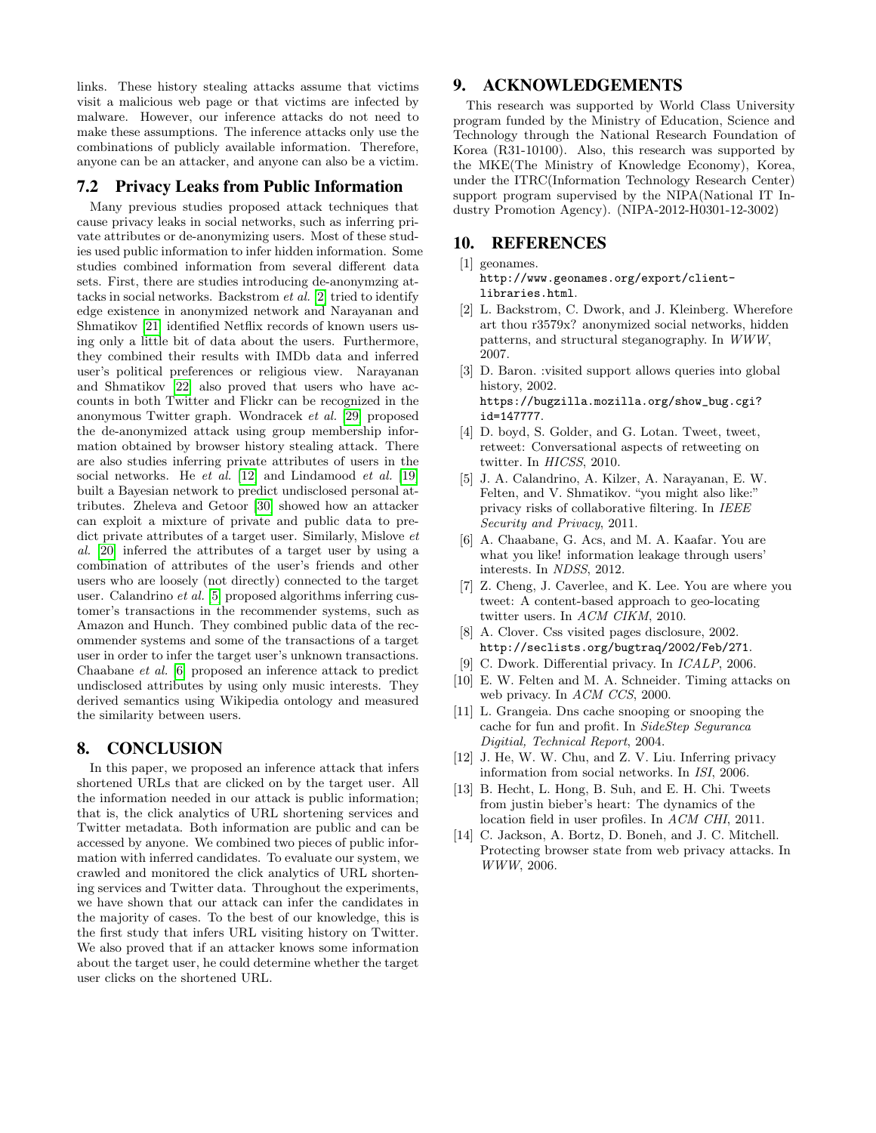links. These history stealing attacks assume that victims visit a malicious web page or that victims are infected by malware. However, our inference attacks do not need to make these assumptions. The inference attacks only use the combinations of publicly available information. Therefore, anyone can be an attacker, and anyone can also be a victim.

#### 7.2 Privacy Leaks from Public Information

Many previous studies proposed attack techniques that cause privacy leaks in social networks, such as inferring private attributes or de-anonymizing users. Most of these studies used public information to infer hidden information. Some studies combined information from several different data sets. First, there are studies introducing de-anonymzing attacks in social networks. Backstrom et al. [\[2\]](#page-9-10) tried to identify edge existence in anonymized network and Narayanan and Shmatikov [\[21\]](#page-10-10) identified Netflix records of known users using only a little bit of data about the users. Furthermore, they combined their results with IMDb data and inferred user's political preferences or religious view. Narayanan and Shmatikov [\[22\]](#page-10-11) also proved that users who have accounts in both Twitter and Flickr can be recognized in the anonymous Twitter graph. Wondracek et al. [\[29\]](#page-10-12) proposed the de-anonymized attack using group membership information obtained by browser history stealing attack. There are also studies inferring private attributes of users in the social networks. He *et al.* [\[12\]](#page-9-11) and Lindamood *et al.* [\[19\]](#page-10-13) built a Bayesian network to predict undisclosed personal attributes. Zheleva and Getoor [\[30\]](#page-10-14) showed how an attacker can exploit a mixture of private and public data to predict private attributes of a target user. Similarly, Mislove et al. [\[20\]](#page-10-15) inferred the attributes of a target user by using a combination of attributes of the user's friends and other users who are loosely (not directly) connected to the target user. Calandrino et al. [\[5\]](#page-9-12) proposed algorithms inferring customer's transactions in the recommender systems, such as Amazon and Hunch. They combined public data of the recommender systems and some of the transactions of a target user in order to infer the target user's unknown transactions. Chaabane et al. [\[6\]](#page-9-13) proposed an inference attack to predict undisclosed attributes by using only music interests. They derived semantics using Wikipedia ontology and measured the similarity between users.

## 8. CONCLUSION

In this paper, we proposed an inference attack that infers shortened URLs that are clicked on by the target user. All the information needed in our attack is public information; that is, the click analytics of URL shortening services and Twitter metadata. Both information are public and can be accessed by anyone. We combined two pieces of public information with inferred candidates. To evaluate our system, we crawled and monitored the click analytics of URL shortening services and Twitter data. Throughout the experiments, we have shown that our attack can infer the candidates in the majority of cases. To the best of our knowledge, this is the first study that infers URL visiting history on Twitter. We also proved that if an attacker knows some information about the target user, he could determine whether the target user clicks on the shortened URL.

## 9. ACKNOWLEDGEMENTS

This research was supported by World Class University program funded by the Ministry of Education, Science and Technology through the National Research Foundation of Korea (R31-10100). Also, this research was supported by the MKE(The Ministry of Knowledge Economy), Korea, under the ITRC(Information Technology Research Center) support program supervised by the NIPA(National IT Industry Promotion Agency). (NIPA-2012-H0301-12-3002)

#### 10. REFERENCES

- <span id="page-9-5"></span>[1] geonames. http://www.geonames.org/export/clientlibraries.html.
- <span id="page-9-10"></span>[2] L. Backstrom, C. Dwork, and J. Kleinberg. Wherefore art thou r3579x? anonymized social networks, hidden patterns, and structural steganography. In WWW, 2007.
- <span id="page-9-0"></span>[3] D. Baron. :visited support allows queries into global history, 2002. https://bugzilla.mozilla.org/show\_bug.cgi? id=147777.
- <span id="page-9-8"></span>[4] D. boyd, S. Golder, and G. Lotan. Tweet, tweet, retweet: Conversational aspects of retweeting on twitter. In HICSS, 2010.
- <span id="page-9-12"></span>[5] J. A. Calandrino, A. Kilzer, A. Narayanan, E. W. Felten, and V. Shmatikov. "you might also like:" privacy risks of collaborative filtering. In IEEE Security and Privacy, 2011.
- <span id="page-9-13"></span>[6] A. Chaabane, G. Acs, and M. A. Kaafar. You are what you like! information leakage through users' interests. In NDSS, 2012.
- <span id="page-9-6"></span>[7] Z. Cheng, J. Caverlee, and K. Lee. You are where you tweet: A content-based approach to geo-locating twitter users. In ACM CIKM, 2010.
- <span id="page-9-1"></span>[8] A. Clover. Css visited pages disclosure, 2002. http://seclists.org/bugtraq/2002/Feb/271.
- <span id="page-9-9"></span>[9] C. Dwork. Differential privacy. In ICALP, 2006.
- <span id="page-9-2"></span>[10] E. W. Felten and M. A. Schneider. Timing attacks on web privacy. In ACM CCS, 2000.
- <span id="page-9-3"></span>[11] L. Grangeia. Dns cache snooping or snooping the cache for fun and profit. In SideStep Seguranca Digitial, Technical Report, 2004.
- <span id="page-9-11"></span>[12] J. He, W. W. Chu, and Z. V. Liu. Inferring privacy information from social networks. In ISI, 2006.
- <span id="page-9-7"></span>[13] B. Hecht, L. Hong, B. Suh, and E. H. Chi. Tweets from justin bieber's heart: The dynamics of the location field in user profiles. In ACM CHI, 2011.
- <span id="page-9-4"></span>[14] C. Jackson, A. Bortz, D. Boneh, and J. C. Mitchell. Protecting browser state from web privacy attacks. In WWW, 2006.